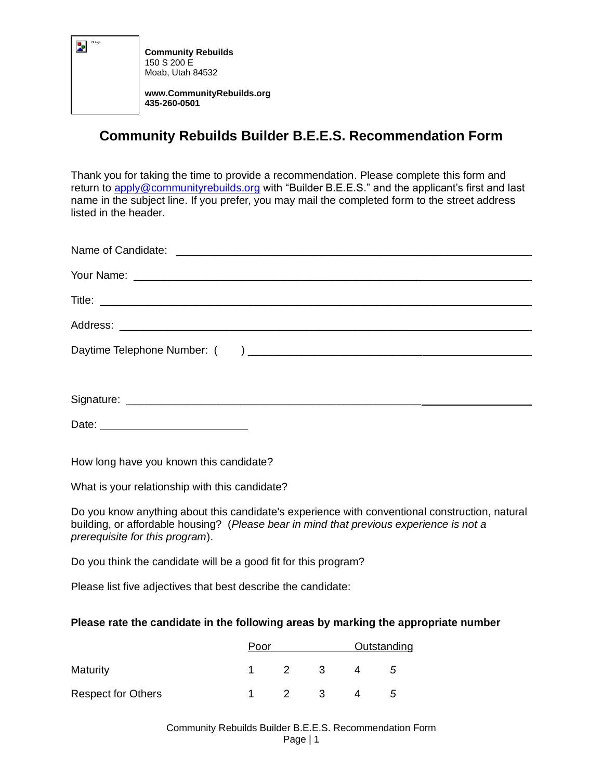

**Community Rebuilds** 150 S 200 E Moab, Utah 84532 **www.CommunityRebuilds.org 435-260-0501**

## **Community Rebuilds Builder B.E.E.S. Recommendation Form**

Thank you for taking the time to provide a recommendation. Please complete this form and return to [apply@communityrebuilds.org](mailto:apply@communityrebuilds.org) with "Builder B.E.E.S." and the applicant's first and last name in the subject line. If you prefer, you may mail the completed form to the street address listed in the header.

How long have you known this candidate?

What is your relationship with this candidate?

Do you know anything about this candidate's experience with conventional construction, natural building, or affordable housing? (*Please bear in mind that previous experience is not a prerequisite for this program*).

Do you think the candidate will be a good fit for this program?

Please list five adjectives that best describe the candidate:

## **Please rate the candidate in the following areas by marking the appropriate number**

|                           | Poor |               |     | Outstanding |  |
|---------------------------|------|---------------|-----|-------------|--|
| Maturity                  |      | $\mathcal{P}$ | - 3 | G           |  |
| <b>Respect for Others</b> |      | $\mathcal{P}$ | - 3 | b           |  |